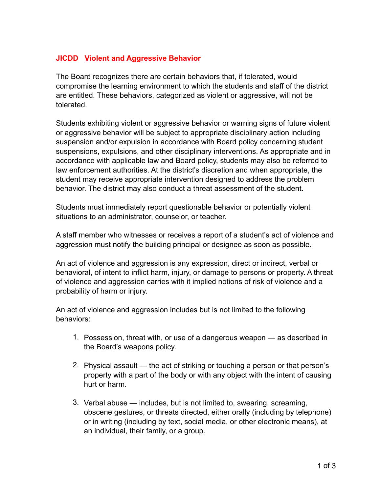## **JICDD Violent and Aggressive Behavior**

The Board recognizes there are certain behaviors that, if tolerated, would compromise the learning environment to which the students and staff of the district are entitled. These behaviors, categorized as violent or aggressive, will not be tolerated.

Students exhibiting violent or aggressive behavior or warning signs of future violent or aggressive behavior will be subject to appropriate disciplinary action including suspension and/or expulsion in accordance with Board policy concerning student suspensions, expulsions, and other disciplinary interventions. As appropriate and in accordance with applicable law and Board policy, students may also be referred to law enforcement authorities. At the district's discretion and when appropriate, the student may receive appropriate intervention designed to address the problem behavior. The district may also conduct a threat assessment of the student.

Students must immediately report questionable behavior or potentially violent situations to an administrator, counselor, or teacher.

A staff member who witnesses or receives a report of a student's act of violence and aggression must notify the building principal or designee as soon as possible.

An act of violence and aggression is any expression, direct or indirect, verbal or behavioral, of intent to inflict harm, injury, or damage to persons or property. A threat of violence and aggression carries with it implied notions of risk of violence and a probability of harm or injury.

An act of violence and aggression includes but is not limited to the following behaviors:

- 1. Possession, threat with, or use of a dangerous weapon as described in the Board's weapons policy.
- 2. Physical assault the act of striking or touching a person or that person's property with a part of the body or with any object with the intent of causing hurt or harm.
- 3. Verbal abuse includes, but is not limited to, swearing, screaming, obscene gestures, or threats directed, either orally (including by telephone) or in writing (including by text, social media, or other electronic means), at an individual, their family, or a group.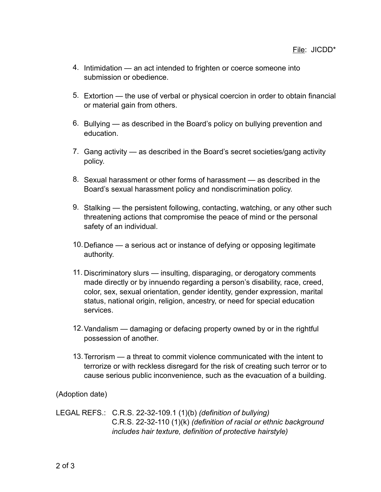- 4. Intimidation an act intended to frighten or coerce someone into submission or obedience.
- 5. Extortion the use of verbal or physical coercion in order to obtain financial or material gain from others.
- 6. Bullying as described in the Board's policy on bullying prevention and education.
- 7. Gang activity as described in the Board's secret societies/gang activity policy.
- 8. Sexual harassment or other forms of harassment as described in the Board's sexual harassment policy and nondiscrimination policy.
- 9. Stalking the persistent following, contacting, watching, or any other such threatening actions that compromise the peace of mind or the personal safety of an individual.
- 10.Defiance a serious act or instance of defying or opposing legitimate authority.
- 11. Discriminatory slurs insulting, disparaging, or derogatory comments made directly or by innuendo regarding a person's disability, race, creed, color, sex, sexual orientation, gender identity, gender expression, marital status, national origin, religion, ancestry, or need for special education services.
- 12.Vandalism damaging or defacing property owned by or in the rightful possession of another.
- 13.Terrorism a threat to commit violence communicated with the intent to terrorize or with reckless disregard for the risk of creating such terror or to cause serious public inconvenience, such as the evacuation of a building.

(Adoption date)

LEGAL REFS.: C.R.S. 22-32-109.1 (1)(b) *(definition of bullying)* C.R.S. 22-32-110 (1)(k) *(definition of racial or ethnic background includes hair texture, definition of protective hairstyle)*